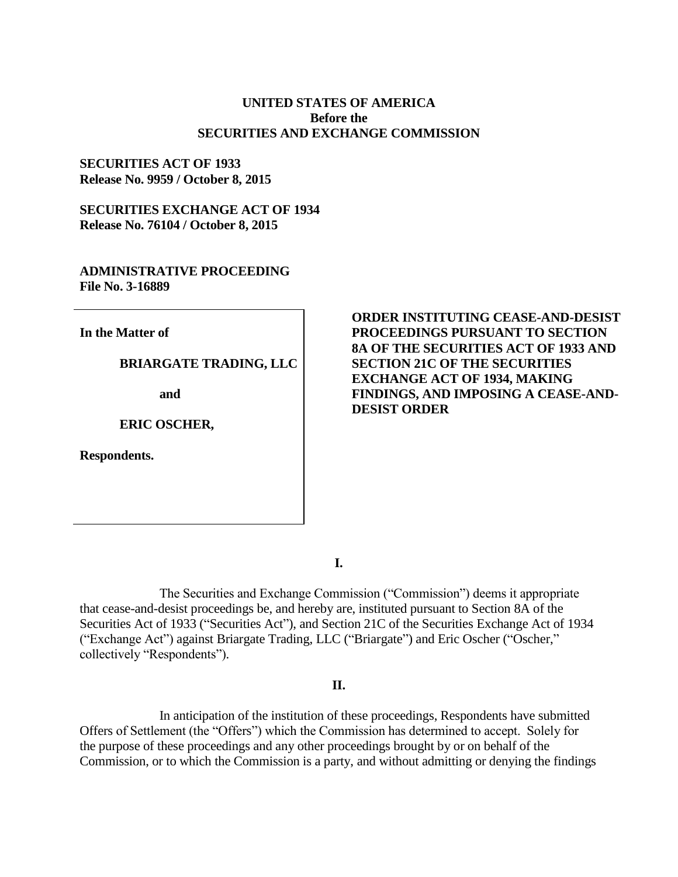### **UNITED STATES OF AMERICA Before the SECURITIES AND EXCHANGE COMMISSION**

#### **SECURITIES ACT OF 1933 Release No. 9959 / October 8, 2015**

**SECURITIES EXCHANGE ACT OF 1934 Release No. 76104 / October 8, 2015**

## **ADMINISTRATIVE PROCEEDING File No. 3-16889**

**In the Matter of**

**BRIARGATE TRADING, LLC** 

**and** 

**ERIC OSCHER,**

**Respondents.**

## **ORDER INSTITUTING CEASE-AND-DESIST PROCEEDINGS PURSUANT TO SECTION 8A OF THE SECURITIES ACT OF 1933 AND SECTION 21C OF THE SECURITIES EXCHANGE ACT OF 1934, MAKING FINDINGS, AND IMPOSING A CEASE-AND-DESIST ORDER**

**I.**

The Securities and Exchange Commission ("Commission") deems it appropriate that cease-and-desist proceedings be, and hereby are, instituted pursuant to Section 8A of the Securities Act of 1933 ("Securities Act"), and Section 21C of the Securities Exchange Act of 1934 ("Exchange Act") against Briargate Trading, LLC ("Briargate") and Eric Oscher ("Oscher," collectively "Respondents").

#### **II.**

In anticipation of the institution of these proceedings, Respondents have submitted Offers of Settlement (the "Offers") which the Commission has determined to accept. Solely for the purpose of these proceedings and any other proceedings brought by or on behalf of the Commission, or to which the Commission is a party, and without admitting or denying the findings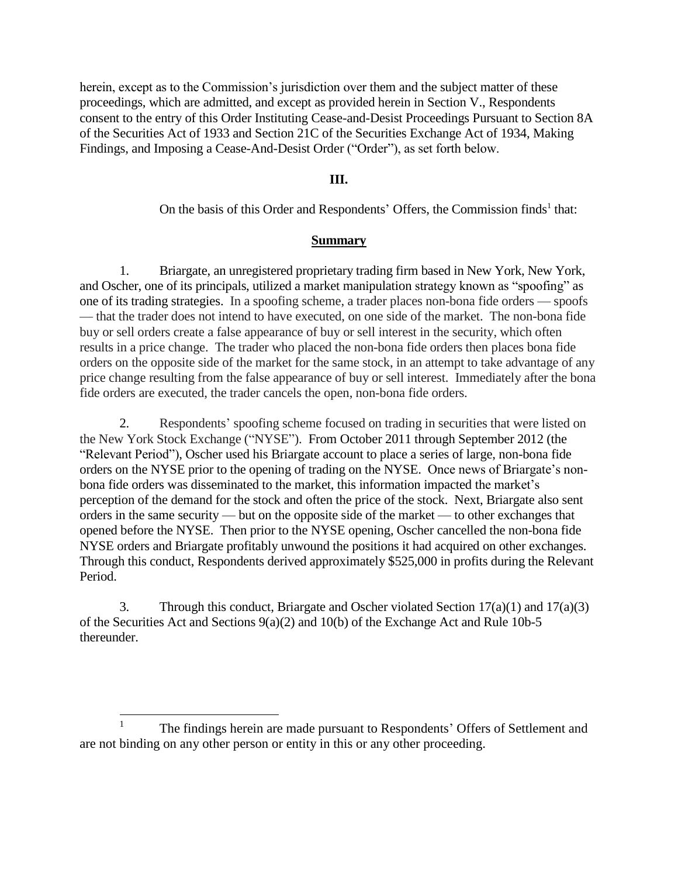herein, except as to the Commission's jurisdiction over them and the subject matter of these proceedings, which are admitted, and except as provided herein in Section V., Respondents consent to the entry of this Order Instituting Cease-and-Desist Proceedings Pursuant to Section 8A of the Securities Act of 1933 and Section 21C of the Securities Exchange Act of 1934, Making Findings, and Imposing a Cease-And-Desist Order ("Order"), as set forth below.

## **III.**

On the basis of this Order and Respondents' Offers, the Commission finds<sup>1</sup> that:

#### **Summary**

1. Briargate, an unregistered proprietary trading firm based in New York, New York, and Oscher, one of its principals, utilized a market manipulation strategy known as "spoofing" as one of its trading strategies. In a spoofing scheme, a trader places non-bona fide orders — spoofs — that the trader does not intend to have executed, on one side of the market. The non-bona fide buy or sell orders create a false appearance of buy or sell interest in the security, which often results in a price change. The trader who placed the non-bona fide orders then places bona fide orders on the opposite side of the market for the same stock, in an attempt to take advantage of any price change resulting from the false appearance of buy or sell interest. Immediately after the bona fide orders are executed, the trader cancels the open, non-bona fide orders.

2. Respondents' spoofing scheme focused on trading in securities that were listed on the New York Stock Exchange ("NYSE"). From October 2011 through September 2012 (the "Relevant Period"), Oscher used his Briargate account to place a series of large, non-bona fide orders on the NYSE prior to the opening of trading on the NYSE. Once news of Briargate's nonbona fide orders was disseminated to the market, this information impacted the market's perception of the demand for the stock and often the price of the stock. Next, Briargate also sent orders in the same security — but on the opposite side of the market — to other exchanges that opened before the NYSE. Then prior to the NYSE opening, Oscher cancelled the non-bona fide NYSE orders and Briargate profitably unwound the positions it had acquired on other exchanges. Through this conduct, Respondents derived approximately \$525,000 in profits during the Relevant Period.

3. Through this conduct, Briargate and Oscher violated Section  $17(a)(1)$  and  $17(a)(3)$ of the Securities Act and Sections 9(a)(2) and 10(b) of the Exchange Act and Rule 10b-5 thereunder.

 $\frac{1}{1}$ The findings herein are made pursuant to Respondents' Offers of Settlement and are not binding on any other person or entity in this or any other proceeding.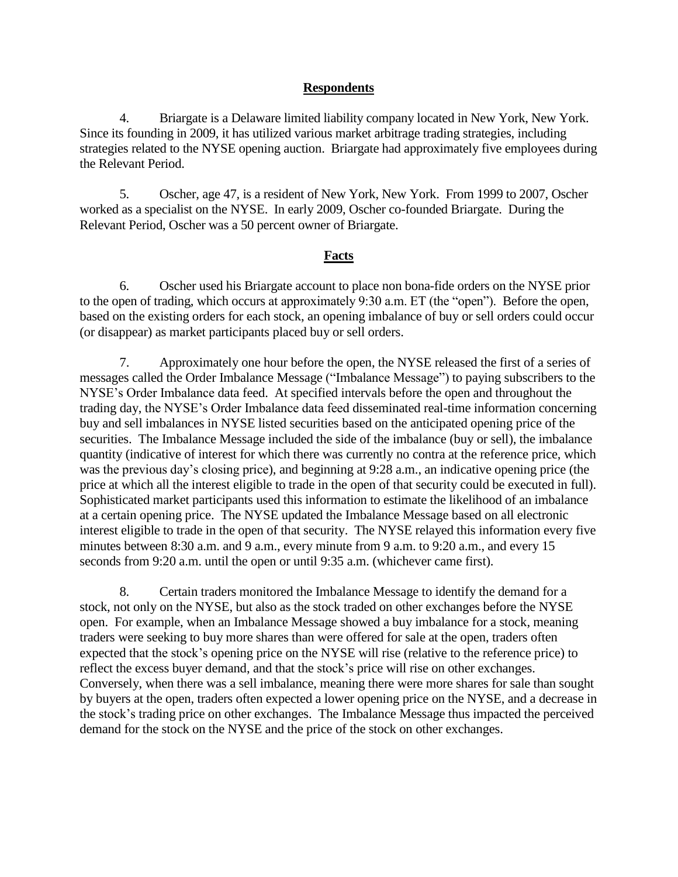## **Respondents**

4. Briargate is a Delaware limited liability company located in New York, New York. Since its founding in 2009, it has utilized various market arbitrage trading strategies, including strategies related to the NYSE opening auction. Briargate had approximately five employees during the Relevant Period.

5. Oscher, age 47, is a resident of New York, New York. From 1999 to 2007, Oscher worked as a specialist on the NYSE. In early 2009, Oscher co-founded Briargate. During the Relevant Period, Oscher was a 50 percent owner of Briargate.

#### **Facts**

6. Oscher used his Briargate account to place non bona-fide orders on the NYSE prior to the open of trading, which occurs at approximately 9:30 a.m. ET (the "open"). Before the open, based on the existing orders for each stock, an opening imbalance of buy or sell orders could occur (or disappear) as market participants placed buy or sell orders.

7. Approximately one hour before the open, the NYSE released the first of a series of messages called the Order Imbalance Message ("Imbalance Message") to paying subscribers to the NYSE's Order Imbalance data feed. At specified intervals before the open and throughout the trading day, the NYSE's Order Imbalance data feed disseminated real-time information concerning buy and sell imbalances in NYSE listed securities based on the anticipated opening price of the securities. The Imbalance Message included the side of the imbalance (buy or sell), the imbalance quantity (indicative of interest for which there was currently no contra at the reference price, which was the previous day's closing price), and beginning at 9:28 a.m., an indicative opening price (the price at which all the interest eligible to trade in the open of that security could be executed in full). Sophisticated market participants used this information to estimate the likelihood of an imbalance at a certain opening price. The NYSE updated the Imbalance Message based on all electronic interest eligible to trade in the open of that security. The NYSE relayed this information every five minutes between 8:30 a.m. and 9 a.m., every minute from 9 a.m. to 9:20 a.m., and every 15 seconds from 9:20 a.m. until the open or until 9:35 a.m. (whichever came first).

8. Certain traders monitored the Imbalance Message to identify the demand for a stock, not only on the NYSE, but also as the stock traded on other exchanges before the NYSE open. For example, when an Imbalance Message showed a buy imbalance for a stock, meaning traders were seeking to buy more shares than were offered for sale at the open, traders often expected that the stock's opening price on the NYSE will rise (relative to the reference price) to reflect the excess buyer demand, and that the stock's price will rise on other exchanges. Conversely, when there was a sell imbalance, meaning there were more shares for sale than sought by buyers at the open, traders often expected a lower opening price on the NYSE, and a decrease in the stock's trading price on other exchanges. The Imbalance Message thus impacted the perceived demand for the stock on the NYSE and the price of the stock on other exchanges.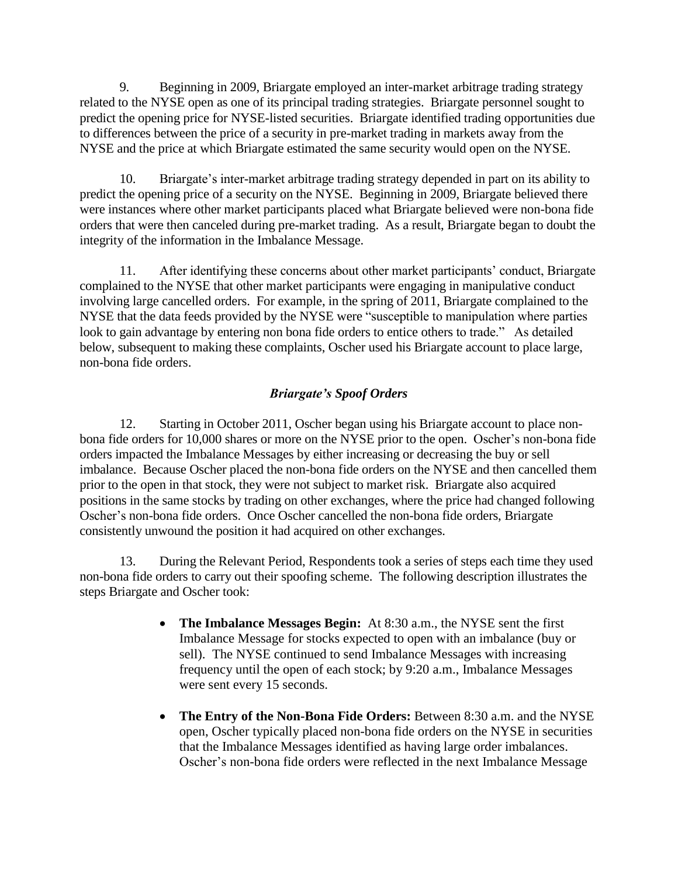9. Beginning in 2009, Briargate employed an inter-market arbitrage trading strategy related to the NYSE open as one of its principal trading strategies. Briargate personnel sought to predict the opening price for NYSE-listed securities. Briargate identified trading opportunities due to differences between the price of a security in pre-market trading in markets away from the NYSE and the price at which Briargate estimated the same security would open on the NYSE.

10. Briargate's inter-market arbitrage trading strategy depended in part on its ability to predict the opening price of a security on the NYSE. Beginning in 2009, Briargate believed there were instances where other market participants placed what Briargate believed were non-bona fide orders that were then canceled during pre-market trading. As a result, Briargate began to doubt the integrity of the information in the Imbalance Message.

11. After identifying these concerns about other market participants' conduct, Briargate complained to the NYSE that other market participants were engaging in manipulative conduct involving large cancelled orders. For example, in the spring of 2011, Briargate complained to the NYSE that the data feeds provided by the NYSE were "susceptible to manipulation where parties look to gain advantage by entering non bona fide orders to entice others to trade." As detailed below, subsequent to making these complaints, Oscher used his Briargate account to place large, non-bona fide orders.

# *Briargate's Spoof Orders*

12. Starting in October 2011, Oscher began using his Briargate account to place nonbona fide orders for 10,000 shares or more on the NYSE prior to the open. Oscher's non-bona fide orders impacted the Imbalance Messages by either increasing or decreasing the buy or sell imbalance. Because Oscher placed the non-bona fide orders on the NYSE and then cancelled them prior to the open in that stock, they were not subject to market risk. Briargate also acquired positions in the same stocks by trading on other exchanges, where the price had changed following Oscher's non-bona fide orders. Once Oscher cancelled the non-bona fide orders, Briargate consistently unwound the position it had acquired on other exchanges.

13. During the Relevant Period, Respondents took a series of steps each time they used non-bona fide orders to carry out their spoofing scheme. The following description illustrates the steps Briargate and Oscher took:

- **The Imbalance Messages Begin:** At 8:30 a.m., the NYSE sent the first Imbalance Message for stocks expected to open with an imbalance (buy or sell). The NYSE continued to send Imbalance Messages with increasing frequency until the open of each stock; by 9:20 a.m., Imbalance Messages were sent every 15 seconds.
- **The Entry of the Non-Bona Fide Orders:** Between 8:30 a.m. and the NYSE open, Oscher typically placed non-bona fide orders on the NYSE in securities that the Imbalance Messages identified as having large order imbalances. Oscher's non-bona fide orders were reflected in the next Imbalance Message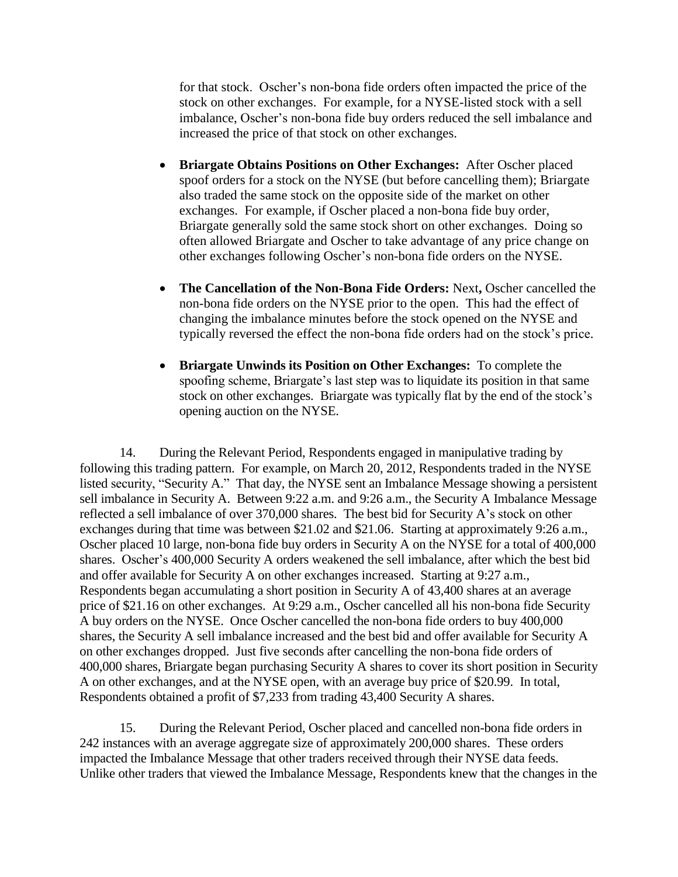for that stock. Oscher's non-bona fide orders often impacted the price of the stock on other exchanges. For example, for a NYSE-listed stock with a sell imbalance, Oscher's non-bona fide buy orders reduced the sell imbalance and increased the price of that stock on other exchanges.

- **Briargate Obtains Positions on Other Exchanges:** After Oscher placed spoof orders for a stock on the NYSE (but before cancelling them); Briargate also traded the same stock on the opposite side of the market on other exchanges. For example, if Oscher placed a non-bona fide buy order, Briargate generally sold the same stock short on other exchanges. Doing so often allowed Briargate and Oscher to take advantage of any price change on other exchanges following Oscher's non-bona fide orders on the NYSE.
- **The Cancellation of the Non-Bona Fide Orders:** Next**,** Oscher cancelled the non-bona fide orders on the NYSE prior to the open. This had the effect of changing the imbalance minutes before the stock opened on the NYSE and typically reversed the effect the non-bona fide orders had on the stock's price.
- **Briargate Unwinds its Position on Other Exchanges:** To complete the spoofing scheme, Briargate's last step was to liquidate its position in that same stock on other exchanges. Briargate was typically flat by the end of the stock's opening auction on the NYSE.

14. During the Relevant Period, Respondents engaged in manipulative trading by following this trading pattern. For example, on March 20, 2012, Respondents traded in the NYSE listed security, "Security A." That day, the NYSE sent an Imbalance Message showing a persistent sell imbalance in Security A. Between 9:22 a.m. and 9:26 a.m., the Security A Imbalance Message reflected a sell imbalance of over 370,000 shares. The best bid for Security A's stock on other exchanges during that time was between \$21.02 and \$21.06. Starting at approximately 9:26 a.m., Oscher placed 10 large, non-bona fide buy orders in Security A on the NYSE for a total of 400,000 shares. Oscher's 400,000 Security A orders weakened the sell imbalance, after which the best bid and offer available for Security A on other exchanges increased. Starting at 9:27 a.m., Respondents began accumulating a short position in Security A of 43,400 shares at an average price of \$21.16 on other exchanges. At 9:29 a.m., Oscher cancelled all his non-bona fide Security A buy orders on the NYSE. Once Oscher cancelled the non-bona fide orders to buy 400,000 shares, the Security A sell imbalance increased and the best bid and offer available for Security A on other exchanges dropped. Just five seconds after cancelling the non-bona fide orders of 400,000 shares, Briargate began purchasing Security A shares to cover its short position in Security A on other exchanges, and at the NYSE open, with an average buy price of \$20.99. In total, Respondents obtained a profit of \$7,233 from trading 43,400 Security A shares.

15. During the Relevant Period, Oscher placed and cancelled non-bona fide orders in 242 instances with an average aggregate size of approximately 200,000 shares. These orders impacted the Imbalance Message that other traders received through their NYSE data feeds. Unlike other traders that viewed the Imbalance Message, Respondents knew that the changes in the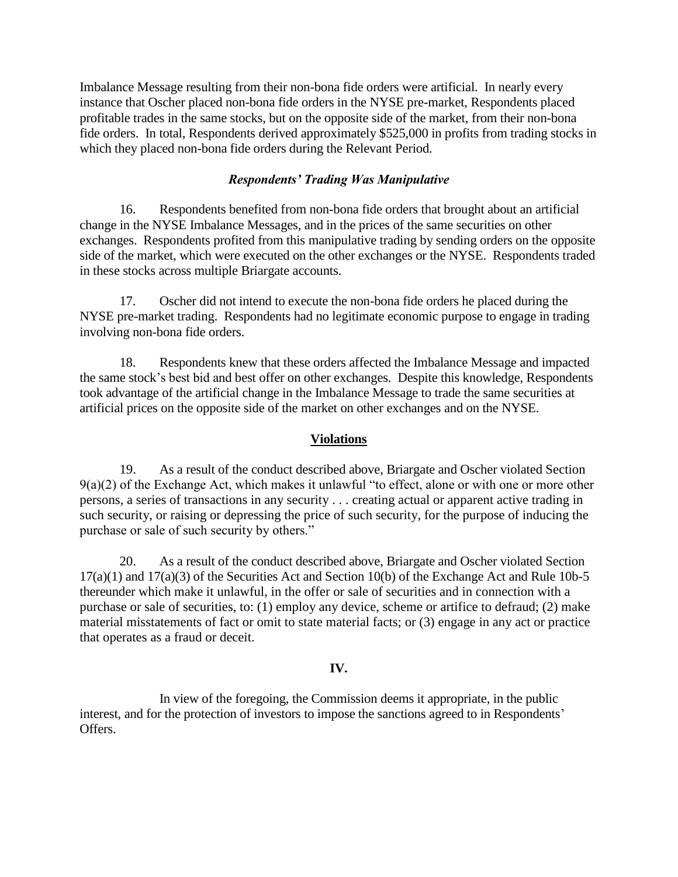Imbalance Message resulting from their non-bona fide orders were artificial. In nearly every instance that Oscher placed non-bona fide orders in the NYSE pre-market, Respondents placed profitable trades in the same stocks, but on the opposite side of the market, from their non-bona fide orders. In total, Respondents derived approximately \$525,000 in profits from trading stocks in which they placed non-bona fide orders during the Relevant Period.

## *Respondents' Trading Was Manipulative*

16. Respondents benefited from non-bona fide orders that brought about an artificial change in the NYSE Imbalance Messages, and in the prices of the same securities on other exchanges. Respondents profited from this manipulative trading by sending orders on the opposite side of the market, which were executed on the other exchanges or the NYSE. Respondents traded in these stocks across multiple Briargate accounts.

17. Oscher did not intend to execute the non-bona fide orders he placed during the NYSE pre-market trading. Respondents had no legitimate economic purpose to engage in trading involving non-bona fide orders.

18. Respondents knew that these orders affected the Imbalance Message and impacted the same stock's best bid and best offer on other exchanges. Despite this knowledge, Respondents took advantage of the artificial change in the Imbalance Message to trade the same securities at artificial prices on the opposite side of the market on other exchanges and on the NYSE.

## **Violations**

19. As a result of the conduct described above, Briargate and Oscher violated Section 9(a)(2) of the Exchange Act, which makes it unlawful "to effect, alone or with one or more other persons, a series of transactions in any security . . . creating actual or apparent active trading in such security, or raising or depressing the price of such security, for the purpose of inducing the purchase or sale of such security by others."

20. As a result of the conduct described above, Briargate and Oscher violated Section 17(a)(1) and 17(a)(3) of the Securities Act and Section 10(b) of the Exchange Act and Rule 10b-5 thereunder which make it unlawful, in the offer or sale of securities and in connection with a purchase or sale of securities, to: (1) employ any device, scheme or artifice to defraud; (2) make material misstatements of fact or omit to state material facts; or (3) engage in any act or practice that operates as a fraud or deceit.

## **IV.**

In view of the foregoing, the Commission deems it appropriate, in the public interest, and for the protection of investors to impose the sanctions agreed to in Respondents' Offers.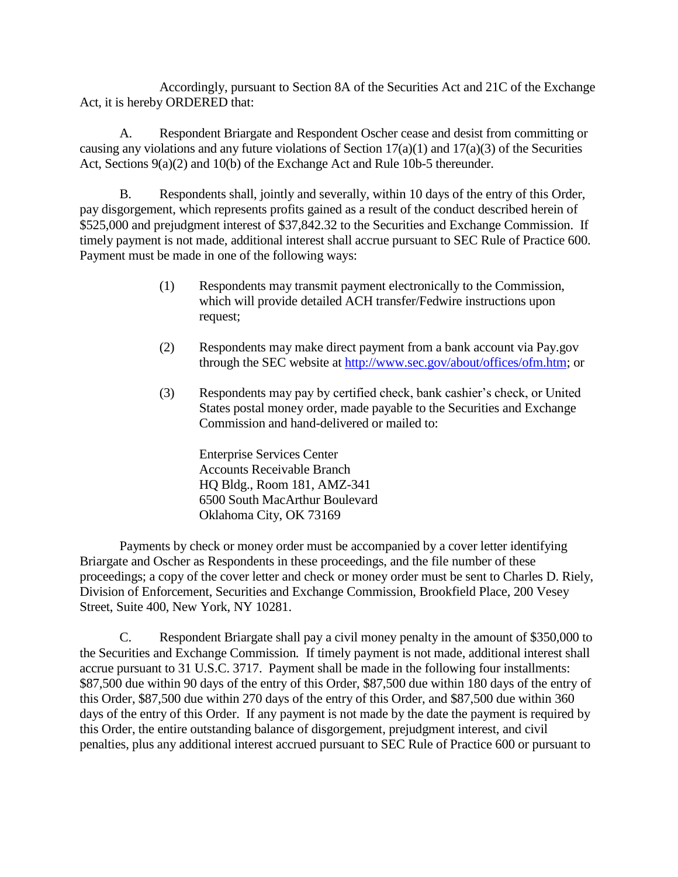Accordingly, pursuant to Section 8A of the Securities Act and 21C of the Exchange Act, it is hereby ORDERED that:

A. Respondent Briargate and Respondent Oscher cease and desist from committing or causing any violations and any future violations of Section  $17(a)(1)$  and  $17(a)(3)$  of the Securities Act, Sections 9(a)(2) and 10(b) of the Exchange Act and Rule 10b-5 thereunder.

B. Respondents shall, jointly and severally, within 10 days of the entry of this Order, pay disgorgement, which represents profits gained as a result of the conduct described herein of \$525,000 and prejudgment interest of \$37,842.32 to the Securities and Exchange Commission. If timely payment is not made, additional interest shall accrue pursuant to SEC Rule of Practice 600. Payment must be made in one of the following ways:

- (1) Respondents may transmit payment electronically to the Commission, which will provide detailed ACH transfer/Fedwire instructions upon request;
- (2) Respondents may make direct payment from a bank account via Pay.gov through the SEC website at http://www.sec.gov/about/offices/ofm.htm; or
- (3) Respondents may pay by certified check, bank cashier's check, or United States postal money order, made payable to the Securities and Exchange Commission and hand-delivered or mailed to:

Enterprise Services Center Accounts Receivable Branch HQ Bldg., Room 181, AMZ-341 6500 South MacArthur Boulevard Oklahoma City, OK 73169

Payments by check or money order must be accompanied by a cover letter identifying Briargate and Oscher as Respondents in these proceedings, and the file number of these proceedings; a copy of the cover letter and check or money order must be sent to Charles D. Riely, Division of Enforcement, Securities and Exchange Commission, Brookfield Place, 200 Vesey Street, Suite 400, New York, NY 10281.

C. Respondent Briargate shall pay a civil money penalty in the amount of \$350,000 to the Securities and Exchange Commission*.* If timely payment is not made, additional interest shall accrue pursuant to 31 U.S.C. 3717. Payment shall be made in the following four installments: \$87,500 due within 90 days of the entry of this Order, \$87,500 due within 180 days of the entry of this Order, \$87,500 due within 270 days of the entry of this Order, and \$87,500 due within 360 days of the entry of this Order. If any payment is not made by the date the payment is required by this Order, the entire outstanding balance of disgorgement, prejudgment interest, and civil penalties, plus any additional interest accrued pursuant to SEC Rule of Practice 600 or pursuant to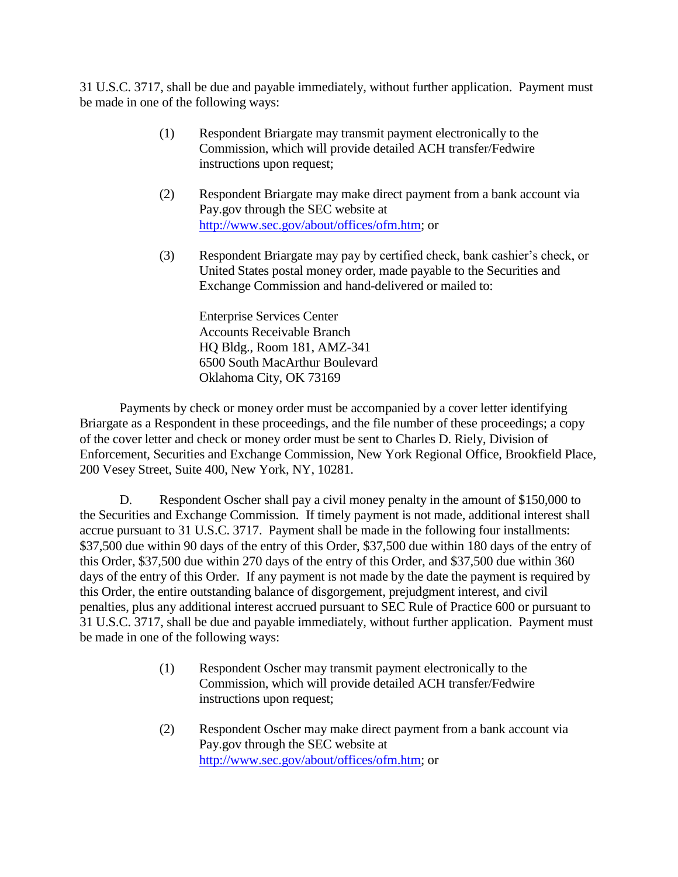31 U.S.C. 3717, shall be due and payable immediately, without further application. Payment must be made in one of the following ways:

- (1) Respondent Briargate may transmit payment electronically to the Commission, which will provide detailed ACH transfer/Fedwire instructions upon request;
- (2) Respondent Briargate may make direct payment from a bank account via Pay.gov through the SEC website at http://www.sec.gov/about/offices/ofm.htm; or
- (3) Respondent Briargate may pay by certified check, bank cashier's check, or United States postal money order, made payable to the Securities and Exchange Commission and hand-delivered or mailed to:

Enterprise Services Center Accounts Receivable Branch HQ Bldg., Room 181, AMZ-341 6500 South MacArthur Boulevard Oklahoma City, OK 73169

Payments by check or money order must be accompanied by a cover letter identifying Briargate as a Respondent in these proceedings, and the file number of these proceedings; a copy of the cover letter and check or money order must be sent to Charles D. Riely, Division of Enforcement, Securities and Exchange Commission, New York Regional Office, Brookfield Place, 200 Vesey Street, Suite 400, New York, NY, 10281.

D. Respondent Oscher shall pay a civil money penalty in the amount of \$150,000 to the Securities and Exchange Commission*.* If timely payment is not made, additional interest shall accrue pursuant to 31 U.S.C. 3717. Payment shall be made in the following four installments: \$37,500 due within 90 days of the entry of this Order, \$37,500 due within 180 days of the entry of this Order, \$37,500 due within 270 days of the entry of this Order, and \$37,500 due within 360 days of the entry of this Order. If any payment is not made by the date the payment is required by this Order, the entire outstanding balance of disgorgement, prejudgment interest, and civil penalties, plus any additional interest accrued pursuant to SEC Rule of Practice 600 or pursuant to 31 U.S.C. 3717, shall be due and payable immediately, without further application. Payment must be made in one of the following ways:

- (1) Respondent Oscher may transmit payment electronically to the Commission, which will provide detailed ACH transfer/Fedwire instructions upon request;
- (2) Respondent Oscher may make direct payment from a bank account via Pay.gov through the SEC website at http://www.sec.gov/about/offices/ofm.htm; or